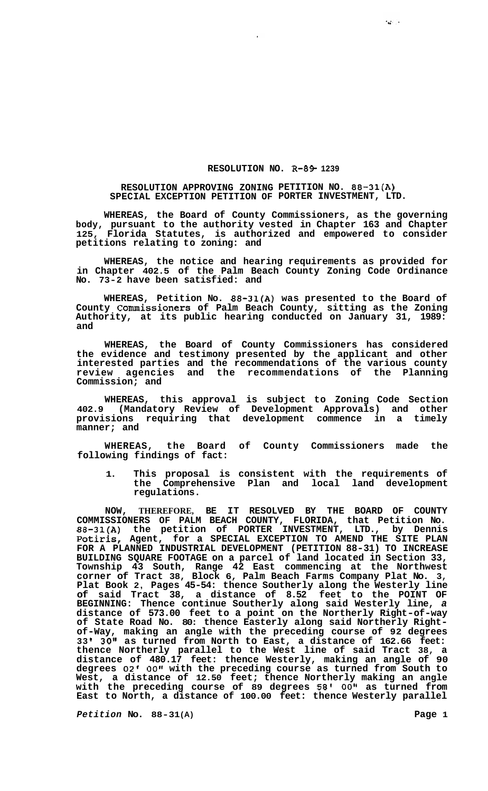## **RESOLUTION NO. R-89-1239**

## **RESOLUTION APPROVING ZONING PETITION NO. 88-31(A) SPECIAL EXCEPTION PETITION OF PORTER INVESTMENT, LTD.**

**WHEREAS, the Board of County Commissioners, as the governing body, pursuant to the authority vested in Chapter 163 and Chapter 125, Florida Statutes, is authorized and empowered to consider petitions relating to zoning: and** 

**WHEREAS, the notice and hearing requirements as provided for in Chapter 402.5 of the Palm Beach County Zoning Code Ordinance No. 73-2 have been satisfied: and** 

**WHEREAS, Petition No. 88-31(A) was presented to the Board of County Commissioners of Palm Beach County, sitting as the Zoning Authority, at its public hearing conducted on January 31, 1989: and** 

**WHEREAS, the Board of County Commissioners has considered the evidence and testimony presented by the applicant and other interested parties and the recommendations of the various county review agencies and the recommendations of the Planning Commission; and** 

**WHEREAS, this approval is subject to Zoning Code Section 402.9 (Mandatory Review of Development Approvals) and other provisions requiring that development commence in a timely manner; and** 

**WHEREAS, the Board of County Commissioners made the following findings of fact:** 

**1. This proposal is consistent with the requirements of the Comprehensive Plan and local land development regulations.** 

**NOW, THEREFORE, BE IT RESOLVED BY THE BOARD OF COUNTY COMMISSIONERS OF PALM BEACH COUNTY, FLORIDA, that Petition No. 88-31(A) the petition of PORTER INVESTMENT, LTD., by Dennis**  Potiris, Agent, for a SPECIAL EXCEPTION TO AMEND THE SITE PLAN **FOR A PLANNED INDUSTRIAL DEVELOPMENT (PETITION 88-31) TO INCREASE BUILDING SQUARE FOOTAGE on a parcel of land located in Section 33, Township 43 South, Range 42 East commencing at the Northwest corner of Tract 38, Block 6, Palm Beach Farms Company Plat No. 3, Plat Book 2, Pages 45-54: thence Southerly along the Westerly line of said Tract 38, a distance of 8.52 feet to the POINT OF BEGINNING: Thence continue Southerly along said Westerly line,** *a*  **distance of 573.00 feet to a point on the Northerly Right-of-way of State Road No. 80: thence Easterly along said Northerly Right- of-Way, making an angle with the preceding course of 92 degrees 33 I 30" as turned from North to East, a distance of 162.66 feet: thence Northerly parallel to the West line of said Tract 38, a distance of 480.17 feet: thence Westerly, making an angle of 90 degrees 02'** *00"* **with the preceding course as turned from South to West, a distance of 12.50 feet; thence Northerly making an angle**  with the preceding course of 89 degrees 58' 00" as turned from **East to North, a distance of 100.00 feet: thence Westerly parallel** 

*Petition No. 88-31(A)* **Page 1** 

 $\sim 10^{-1}$  .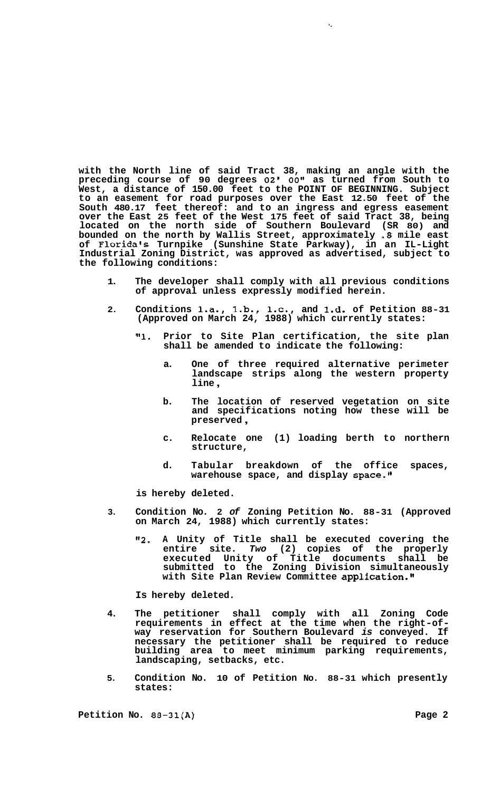**with the North line of said Tract 38, making an angle with the preceding course of 90 degrees 02' OOtt as turned from South to West, a distance of 150.00 feet to the POINT OF BEGINNING. Subject to an easement for road purposes over the East 12.50 feet of the South 480.17 feet thereof: and to an ingress and egress easement over the East 25 feet of the West 175 feet of said Tract 38, being located on the north side of Southern Boulevard (SR 80) and bounded on the north by Wallis Street, approximately** *.8* **mile east of Floridals Turnpike (Sunshine State Parkway), in an IL-Light Industrial Zoning District, was approved as advertised, subject to the following conditions:** 

- **1. The developer shall comply with all previous conditions of approval unless expressly modified herein.**
- 2. Conditions 1.a., 1.b., 1.c., and 1.d. of Petition 88-31 **(Approved on March 24, 1988) which currently states:** 
	- **Ill. Prior to Site Plan certification, the site plan shall be amended to indicate the following:** 
		- **a. One of three required alternative perimeter landscape strips along the western property line** ,

 $\ddot{\bullet}$ 

- **b. The location of reserved vegetation on site and specifications noting how these will be preserved** ,
- **c. Relocate one (1) loading berth to northern structure,**
- **d. Tabular breakdown of the office spaces,**  warehouse space, and display space."

**is hereby deleted.** 

- **3. Condition No. 2** *of* **Zoning Petition No. 88-31 (Approved on March 24, 1988) which currently states:** 
	- **"2. A Unity of Title shall be executed covering the entire site.** *Two* **(2) copies of the properly executed Unity of Title documents shall be submitted to the Zoning Division simultaneously with Site Plan Review Committee application."**

**Is hereby deleted.** 

- **4. The petitioner shall comply with all Zoning Code requirements in effect at the time when the right-of- way reservation for Southern Boulevard** *is* **conveyed. If necessary the petitioner shall be required to reduce building area to meet minimum parking requirements, landscaping, setbacks, etc.**
- **5. Condition No. 10 of Petition No. 88-31 which presently states:**

**Petition No. 88-31(A)** Page 2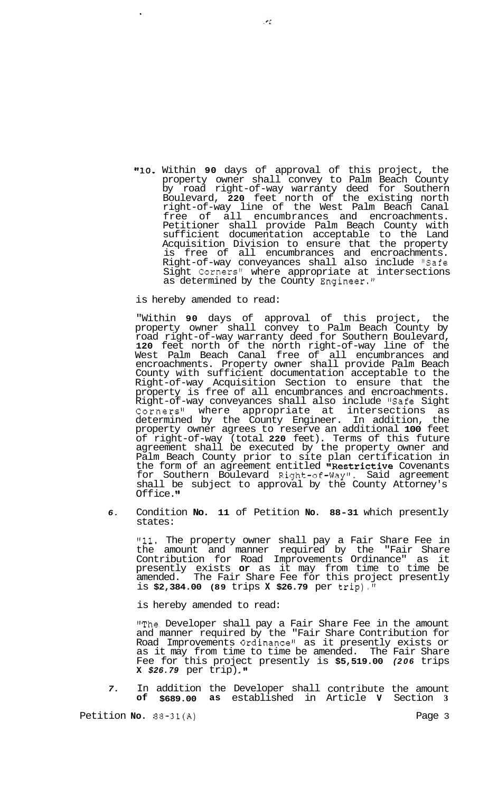**"10.** Within **90** days of approval of this project, the property owner shall convey to Palm Beach County  $\bar{\text{b}}$ y road right-of-way warranty deed for Southern Boulevard, **220** feet north of the existing north right-of-way line of the West Palm Beach Canal free of all encumbrances and encroachments. Petitioner shall provide Palm Beach County with sufficient documentation acceptable to the Land Acquisition Division to ensure that the property is free of all encumbrances and encroachments. Right-of-way conveyances shall also include "Safe Sight Corners" where appropriate at intersections as determined by the County Engineer."

is hereby amended to read:

"Within **90** days of approval of this project, the property owner shall convey to Palm Beach County by road right-of-way warranty deed for Southern Boulevard, **120** feet north of the north right-of-way line of the West Palm Beach Canal free of all encumbrances and encroachments. Property owner shall provide Palm Beach County with sufficient documentation acceptable to the Right-of-way Acquisition Section to ensure that the property is free of all encumbrances and encroachments. Right-of-way conveyances shall also include "Safe Sight Corners" where appropriate at intersections as determined by the County Engineer. In addition, the property owner agrees to reserve an additional **100** feet of right-of-way (total **220** feet). Terms of this future agreement shall be executed by the property owner and Palm Beach County prior to site plan certification in the form of an agreement entitled "Restrictive Covenants for Southern Boulevard Right-of-Way". Said agreement shall be subject to approval by the County Attorney's Office."

*6.* Condition **No. 11** of Petition **No. 88-31** which presently states:

**"11.** The property owner shall pay a Fair Share Fee in the amount and manner required by the "Fair Share Contribution for Road Improvements Ordinance" as it presently exists **or** as it may from time to time be amended. The Fair Share Fee for this project presently is **\$2,384.00 (89** trips **X \$26.79** per trip)."

is hereby amended to read:

'\*The Developer shall pay a Fair Share Fee in the amount and manner required by the "Fair Share Contribution for Road Improvements Ordinance" as it presently exists or as it may from time to time be amended. The Fair Share Fee for this project presently is **\$5,519.00** *(206* trips **X** *\$26.79* per trip) **.I1** 

*7.* In addition the Developer shall contribute the amount **of \$689.00 as** established in Article **V** Section **3** 

Petition **No.**  $88-31(A)$  Page 3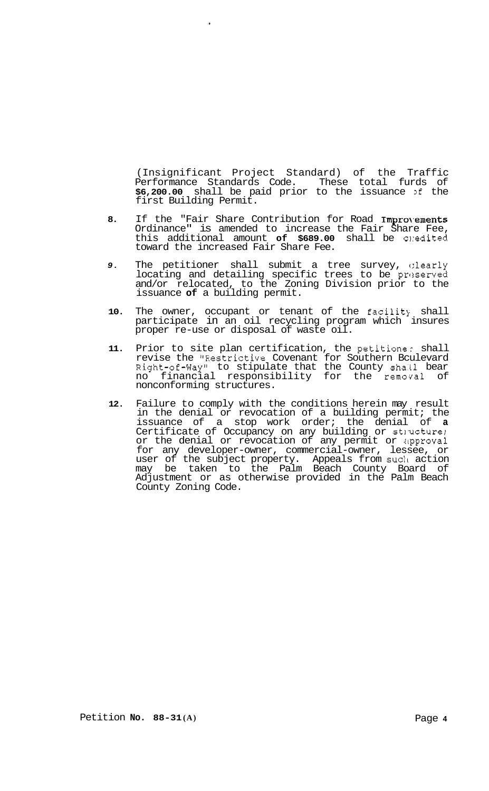(Insignificant Project Standard) of the Traffic Performance Standards Code. These total furds of **\$6,200.00** shall be paid prior to the issuance >f the first Building Permit.

- 8. If the "Fair Share Contribution for Road Improvements Ordinance" is amended to increase the Fair Share Fee, this additional amount **of \$689.00** shall be c1:edited toward the increased Fair Share Fee.
- 9. The petitioner shall submit a tree survey, clearly locating and detailing specific trees to be preserved and/or relocated, to the Zoning Division prior to the issuance **of** a building permit.
- 10. The owner, occupant or tenant of the facility shall participate in an oil recycling program which insures proper re-use or disposal of waste oil.
- **11.** Prior to site plan certification, the petitioner shall revise the "Restrictive Covenant for Southern Bculevard Right-of-Way" to stipulate that the County sha.11 bear no financial responsibility for the removal of nonconforming structures.
- **12.** Failure to comply with the conditions herein may result in the denial or revocation of a building permit; the issuance of a stop work order; the denial of **a**  Certificate of Occupancy on any building or structure; or the denial or revocation of any permit or approval for any developer-owner, commercial-owner, lessee, or user of the subject property. Appeals from sudl action may be taken to the Palm Beach County Board of Adjustment or as otherwise provided in the Palm Beach County Zoning Code.